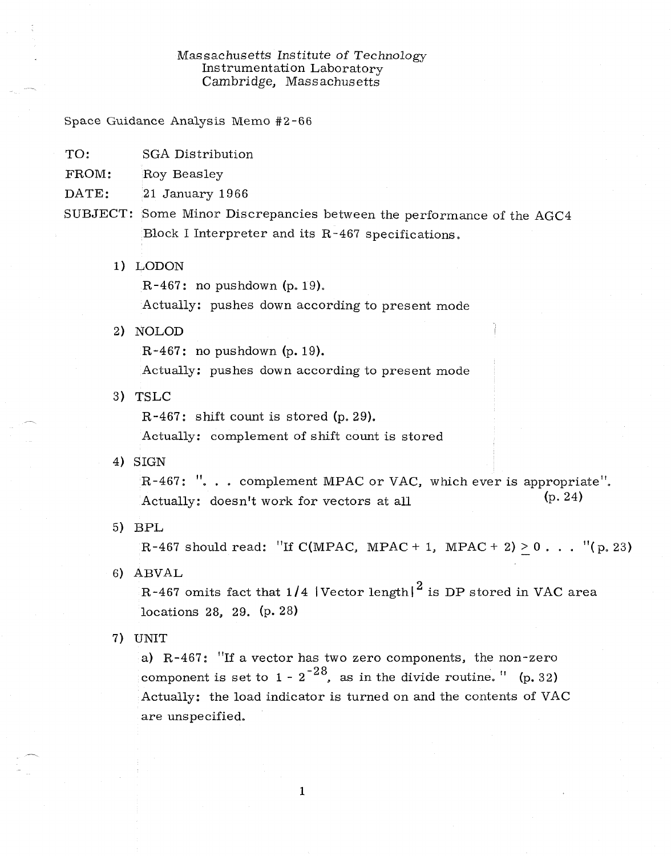## Massachusetts Institute *of Technology*  Instrumentation Laboratory Cambridge, Massachusetts

Space Guidance Analysis Memo #2-66

- TO: SGA Distribution
- FROM: Roy Beasley
- DATE: 21 January 1966
- SUBJECT: Some Minor Discrepancies between the performance of the AGC4 Block I Interpreter and its R-467 specifications.
	- 1) LODON

R-467: no pushdown (p. 19).

Actually: pushes down according to present mode

2) NOLOD

R-467: no pushdown (p. 19).

Actually: pushes down according to present mode

3) TSLC

R -467: shift count is stored (p. 29).

Actually: complement of shift count is stored

4) SIGN

R-467: "... complement MPAC or VAC, which ever is appropriate". Actually: doesn't work for vectors at all (p. 24)

5) BPL

R-467 should read: "If C(MPAC, MPAC + 1, MPAC + 2) > 0... "(p. 23)

6) ABVAL

R-467 omits fact that  $1/4$  |Vector length|<sup>2</sup> is DP stored in VAC area locations 28, 29. (p. 28)

7) UNIT

a) R-467: "If a vector has two zero components, the non-zero component is set to  $1 - 2^{-28}$ , as in the divide routine. " (p. 32) Actually: the load indicator is turned on and the contents of VAC are unspecified.

1